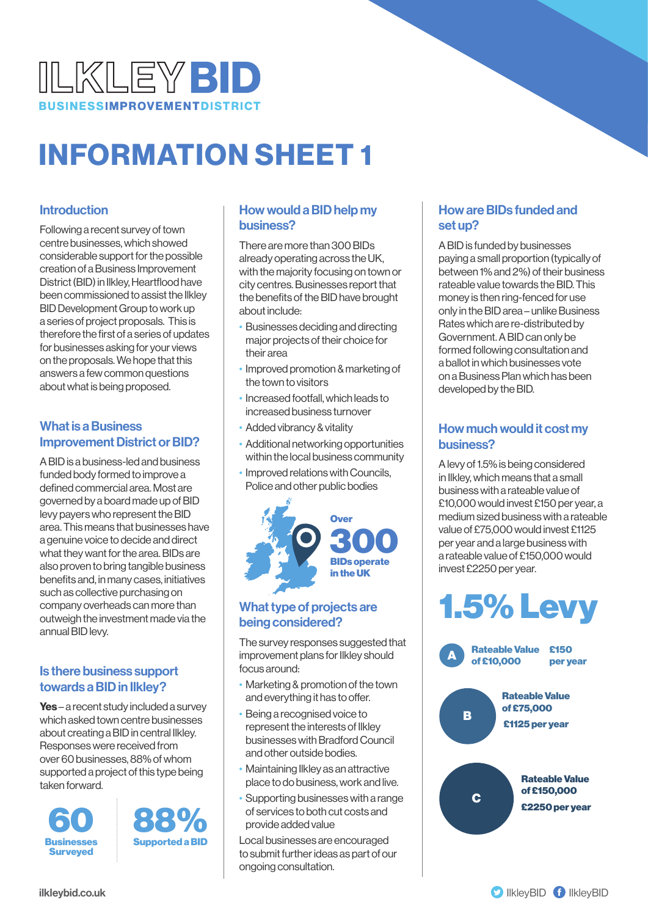

# INFORMATION SHEET 1

#### Introduction

Following a recent survey of town centre businesses, which showed considerable support for the possible creation of a Business Improvement District (BID) in Ilkley, Heartflood have been commissioned to assist the Ilkley BID Development Group to work up a series of project proposals. This is therefore the first of a series of updates for businesses asking for your views on the proposals. We hope that this answers a few common questions about what is being proposed.

#### What is a Business Improvement District or BID?

A BID is a business-led and business funded body formed to improve a defined commercial area. Most are governed by a board made up of BID levy payers who represent the BID area. This means that businesses have a genuine voice to decide and direct what they want for the area. BIDs are also proven to bring tangible business benefits and, in many cases, initiatives such as collective purchasing on company overheads can more than outweigh the investment made via the annual BID levy.

### Is there business support towards a BID in Ilkley?

Yes – a recent study included a survey which asked town centre businesses about creating a BID in central Ilkley. Responses were received from over 60 businesses, 88% of whom supported a project of this type being taken forward.





#### How would a BID help my business?

There are more than 300 BIDs already operating across the UK, with the majority focusing on town or city centres. Businesses report that the benefits of the BID have brought about include:

- Businesses deciding and directing major projects of their choice for their area
- Improved promotion & marketing of the town to visitors
- Increased footfall, which leads to increased business turnover
- Added vibrancy & vitality
- Additional networking opportunities within the local business community
- Improved relations with Councils, Police and other public bodies



#### What type of projects are being considered?

The survey responses suggested that improvement plans for Ilkley should focus around:

- Marketing & promotion of the town and everything it has to offer.
- Being a recognised voice to represent the interests of Ilkley businesses with Bradford Council and other outside bodies.
- Maintaining Ilkley as an attractive place to do business, work and live.
- Supporting businesses with a range of services to both cut costs and provide added value

Local businesses are encouraged to submit further ideas as part of our ongoing consultation.

#### How are BIDs funded and set up?

A BID is funded by businesses paying a small proportion (typically of between 1% and 2%) of their business rateable value towards the BID. This money is then ring-fenced for use only in the BID area – unlike Business Rates which are re-distributed by Government. A BID can only be formed following consultation and a ballot in which businesses vote on a Business Plan which has been developed by the BID.

## How much would it cost my business?

A levy of 1.5% is being considered in Ilkley, which means that a small business with a rateable value of £10,000 would invest £150 per year, a medium sized business with a rateable value of £75,000 would invest £1125 per year and a large business with a rateable value of £150,000 would invest £2250 per year.

# 1.5% Levy